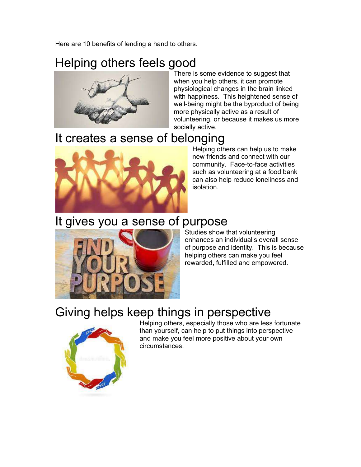Here are 10 benefits of lending a hand to others.

## Helping others feels good



There is some evidence to suggest that when you help others, it can promote physiological changes in the brain linked with happiness. This heightened sense of well-being might be the byproduct of being more physically active as a result of volunteering, or because it makes us more socially active.

#### It creates a sense of belonging



Helping others can help us to make new friends and connect with our community. Face-to-face activities such as volunteering at a food bank can also help reduce loneliness and isolation.

#### It gives you a sense of purpose



#### Studies show that volunteering enhances an individual's overall sense of purpose and identity. This is because helping others can make you feel rewarded, fulfilled and empowered.

# Giving helps keep things in perspective



Helping others, especially those who are less fortunate than yourself, can help to put things into perspective and make you feel more positive about your own circumstances.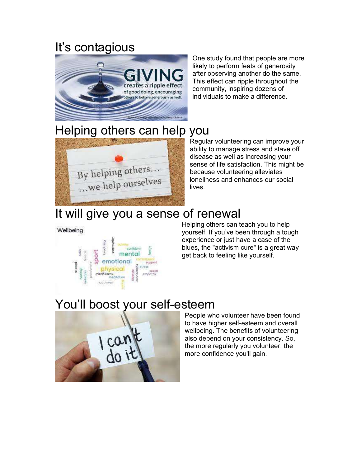## It's contagious



One study found that people are more likely to perform feats of generosity after observing another do the same. This effect can ripple throughout the community, inspiring dozens of individuals to make a difference.

## Helping others can help you



Regular volunteering can improve your ability to manage stress and stave off disease as well as increasing your sense of life satisfaction. This might be because volunteering alleviates loneliness and enhances our social lives.

### It will give you a sense of renewal

Wellbeing



Helping others can teach you to help yourself. If you've been through a tough experience or just have a case of the blues, the "activism cure" is a great way get back to feeling like yourself.

# You'll boost your self-esteem



People who volunteer have been found to have higher self-esteem and overall wellbeing. The benefits of volunteering also depend on your consistency. So, the more regularly you volunteer, the more confidence you'll gain.